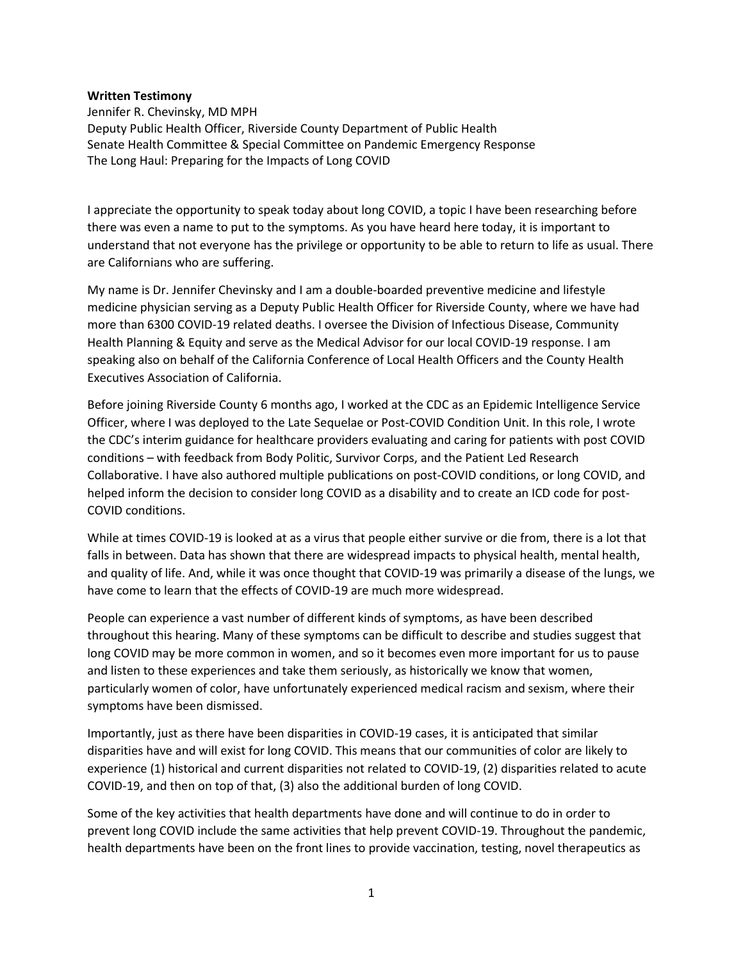## **Written Testimony**

Jennifer R. Chevinsky, MD MPH Deputy Public Health Officer, Riverside County Department of Public Health Senate Health Committee & Special Committee on Pandemic Emergency Response The Long Haul: Preparing for the Impacts of Long COVID

I appreciate the opportunity to speak today about long COVID, a topic I have been researching before there was even a name to put to the symptoms. As you have heard here today, it is important to understand that not everyone has the privilege or opportunity to be able to return to life as usual. There are Californians who are suffering.

My name is Dr. Jennifer Chevinsky and I am a double-boarded preventive medicine and lifestyle medicine physician serving as a Deputy Public Health Officer for Riverside County, where we have had more than 6300 COVID-19 related deaths. I oversee the Division of Infectious Disease, Community Health Planning & Equity and serve as the Medical Advisor for our local COVID-19 response. I am speaking also on behalf of the California Conference of Local Health Officers and the County Health Executives Association of California.

Before joining Riverside County 6 months ago, I worked at the CDC as an Epidemic Intelligence Service Officer, where I was deployed to the Late Sequelae or Post-COVID Condition Unit. In this role, I wrote the CDC's interim guidance for healthcare providers evaluating and caring for patients with post COVID conditions – with feedback from Body Politic, Survivor Corps, and the Patient Led Research Collaborative. I have also authored multiple publications on post-COVID conditions, or long COVID, and helped inform the decision to consider long COVID as a disability and to create an ICD code for post-COVID conditions.

While at times COVID-19 is looked at as a virus that people either survive or die from, there is a lot that falls in between. Data has shown that there are widespread impacts to physical health, mental health, and quality of life. And, while it was once thought that COVID-19 was primarily a disease of the lungs, we have come to learn that the effects of COVID-19 are much more widespread.

People can experience a vast number of different kinds of symptoms, as have been described throughout this hearing. Many of these symptoms can be difficult to describe and studies suggest that long COVID may be more common in women, and so it becomes even more important for us to pause and listen to these experiences and take them seriously, as historically we know that women, particularly women of color, have unfortunately experienced medical racism and sexism, where their symptoms have been dismissed.

Importantly, just as there have been disparities in COVID-19 cases, it is anticipated that similar disparities have and will exist for long COVID. This means that our communities of color are likely to experience (1) historical and current disparities not related to COVID-19, (2) disparities related to acute COVID-19, and then on top of that, (3) also the additional burden of long COVID.

Some of the key activities that health departments have done and will continue to do in order to prevent long COVID include the same activities that help prevent COVID-19. Throughout the pandemic, health departments have been on the front lines to provide vaccination, testing, novel therapeutics as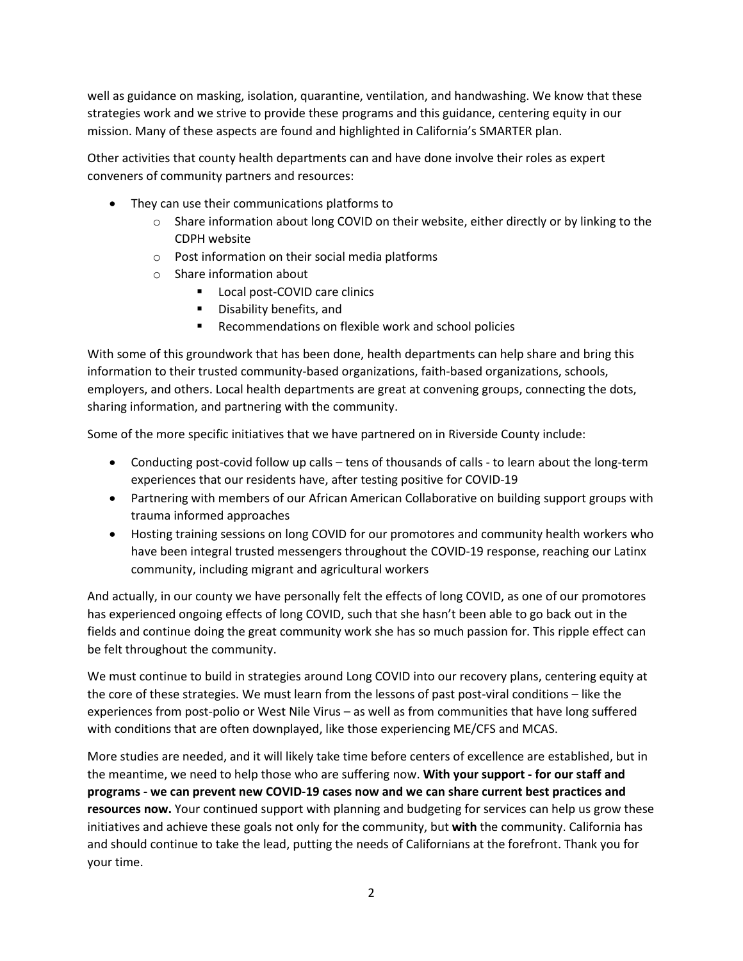well as guidance on masking, isolation, quarantine, ventilation, and handwashing. We know that these strategies work and we strive to provide these programs and this guidance, centering equity in our mission. Many of these aspects are found and highlighted in California's SMARTER plan.

Other activities that county health departments can and have done involve their roles as expert conveners of community partners and resources:

- They can use their communications platforms to
	- $\circ$  Share information about long COVID on their website, either directly or by linking to the CDPH website
	- o Post information on their social media platforms
	- o Share information about
		- Local post-COVID care clinics
		- Disability benefits, and
		- Recommendations on flexible work and school policies

With some of this groundwork that has been done, health departments can help share and bring this information to their trusted community-based organizations, faith-based organizations, schools, employers, and others. Local health departments are great at convening groups, connecting the dots, sharing information, and partnering with the community.

Some of the more specific initiatives that we have partnered on in Riverside County include:

- Conducting post-covid follow up calls tens of thousands of calls to learn about the long-term experiences that our residents have, after testing positive for COVID-19
- Partnering with members of our African American Collaborative on building support groups with trauma informed approaches
- Hosting training sessions on long COVID for our promotores and community health workers who have been integral trusted messengers throughout the COVID-19 response, reaching our Latinx community, including migrant and agricultural workers

And actually, in our county we have personally felt the effects of long COVID, as one of our promotores has experienced ongoing effects of long COVID, such that she hasn't been able to go back out in the fields and continue doing the great community work she has so much passion for. This ripple effect can be felt throughout the community.

We must continue to build in strategies around Long COVID into our recovery plans, centering equity at the core of these strategies. We must learn from the lessons of past post-viral conditions – like the experiences from post-polio or West Nile Virus – as well as from communities that have long suffered with conditions that are often downplayed, like those experiencing ME/CFS and MCAS.

More studies are needed, and it will likely take time before centers of excellence are established, but in the meantime, we need to help those who are suffering now. **With your support - for our staff and programs - we can prevent new COVID-19 cases now and we can share current best practices and resources now.** Your continued support with planning and budgeting for services can help us grow these initiatives and achieve these goals not only for the community, but **with** the community. California has and should continue to take the lead, putting the needs of Californians at the forefront. Thank you for your time.